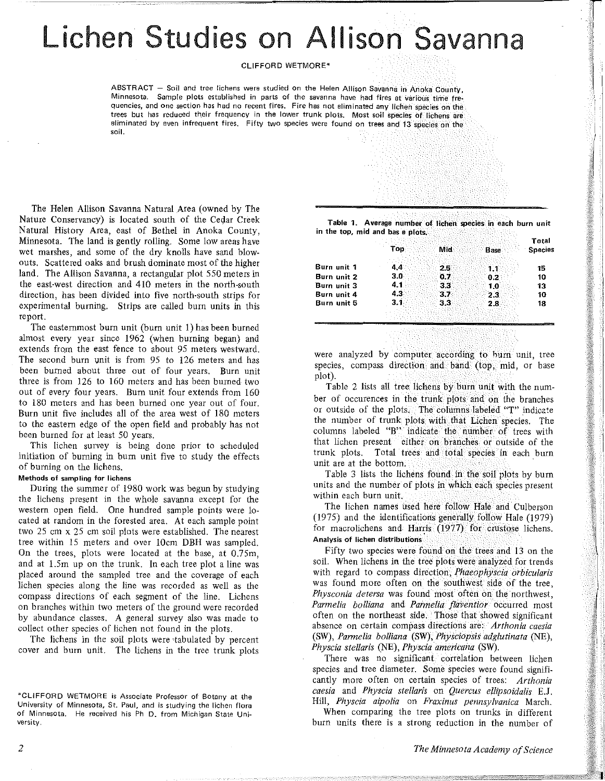## Lichen Studies on Allison Savanna

CLIFFORD WETMORE•

ABSTRACT - Soil and tree lichens were studied on the Helen Allison Savanna in Anoka County, Minnesota. Sample plots established in parts of the savanna have had fires at various time frequencies, and one section has had no recent fires. Fire has not eliminated any lichen species on the trees but has reduced their frequency in the lower trunk plots. Most soil species of lichens are eliminated by even infrequent fires. Fifty two species were found on trees and 13 species on the SOii.

The Helen Allison Savanna Natural Area (owned by The Nature Conservancy) is located south of the Cedar Creek Natural History Area, east of Bethel in Anoka· County, Minnesota. The land is gently rolling. Some low areas have wet marshes, and some of the dry knolls have sand blowouts. Scattered oaks and brush dominate most of the higher land. The Allison Savanna, a rectangular plot 550 meters in the east-west direction and 410 meters in the north-south direction, has been divided into five north-south strips for experimental burning. Strips are called burn units in this report.

The easternmost burn unit (burn unit 1) has been burned almost every year since 1962 (when burning began) and extends from the east fence *to* about 95 meters westward. The second burn unit is from 95 to 126 meters and has been burned about three out of four years. Burn unit three is from 126 to 160 meters and has been burned two out of every four years. Burn unit four extends from 160 to 180 meters and has been burned one year out of four. Burn unit five includes all of the area west of 180 meters to the eastern edge of the open field and probably has not been burned for at least 50 years.

This lichen survey is being done prior *to* scheduled initiation of burning in bum unit five to study the effects of burning on the lichens.

## Methods of sampling for lichens

During the summer of 1980 work was begun by studying the lichens present in the whoie savanna except for the western open field. One hundred sample points were located at random in the forested area. At each sample point two 25 cm x 25 cm soil plots were established. The nearest tree within 15 meters and over lOcm DBH was sampled. On the trees, plots were located at the base, at 0.75m, and at l.Sm up on the trunk. In each tree plot a line was placed around the sampled tree and the coverage of each lichen species along the line was recorded as well as the compass directions of each segment of the line. Lichens on branches within two meters of the ground were recorded by abundance classes. A general survey also was made to collect other species of lichen not found in the plots.

The lichens in the soil plots were ·tabulated by percent cover and burn unit. The lichens in the tree trunk plots

Table 1. Average number of lichen species in each burn unit in the top, mid and bas e plots.

|                            | Top<br>Mid<br>Base      | Total<br><b>Species</b> |
|----------------------------|-------------------------|-------------------------|
| Burn unit 1                | 44<br>25                | 15                      |
| Burn unit 2                | 3.0<br>0.7<br>0.2       | 10                      |
| Burn unit 3                | 4.1<br>33<br>1.0<br>4.3 | 13                      |
| Burn unit 4<br>Burn unit 5 | 37<br>3.1<br>2.8        | 10<br>18                |
|                            |                         |                         |

were analyzed by computer according to hurn unit, tree species, compass direction and band (top, mid, or base plot).

Table 2 lists all tree lichens by burn unit with the number of occurences in the trunk plots and on the branches or outside of the plots. The columns labeled "T" indicate the number of trunk plots with that Lichen species. The columns labeled "B" indicate the riumber of trees with that lichen present either on branches or outside of the trunk plots. Total trees and total species in each burn unit are at the bottom.

Table 3 lists the lichens found in the soil plots by burn units and the number of plots in which each species present within each burn unit.

The lichen names used here follow Hale and Culberson (1975) and the identifications generally follow Hale (1979) for macrolichens and Harris (1977) for crustose lichens. Analysis of lichen distributions

Fifty two species were found on the trees and 13 on the soil. When lichens in the tree plots were analyzed for trends with regard to compass direction, *Phaeophyscia orbicularis*  was found more often on the southwest side of the tree *Physconia detersa* was found most often on the northwest' *Parmelia bolliana* and *Pannelia flaVentior* occurred most often on the northeast side. Those that showed significant absence on certain compass directions are: *Arthonia caesia*  (SW), *Parmelia bolliana* (SW), *Physciopsis adg/utinata* (NE), *Physcia stel/aris* (NE), *Physcia americana* (SW).

There was no significant correlation between lichen species and tree diameter. Some species were found significantly more often on certain species of trees: *Arthonia caesia* and *Physcia stellaris* on *Quercus eflipsoidalis* E.J. Hill, *Physcia aipolia* on *Fraxinus pennsylvanica* March.

When comparing the tree plots on trunks in different burn units there is a strong reduction in the number of

•': •

<sup>\*</sup>CLIFFORD WETMORE is Associate Professor of Botany at the University of Minnesota, St. Paul, and is studying the lichen flora of Minnesota. He received his Ph D. from Michigan State University.